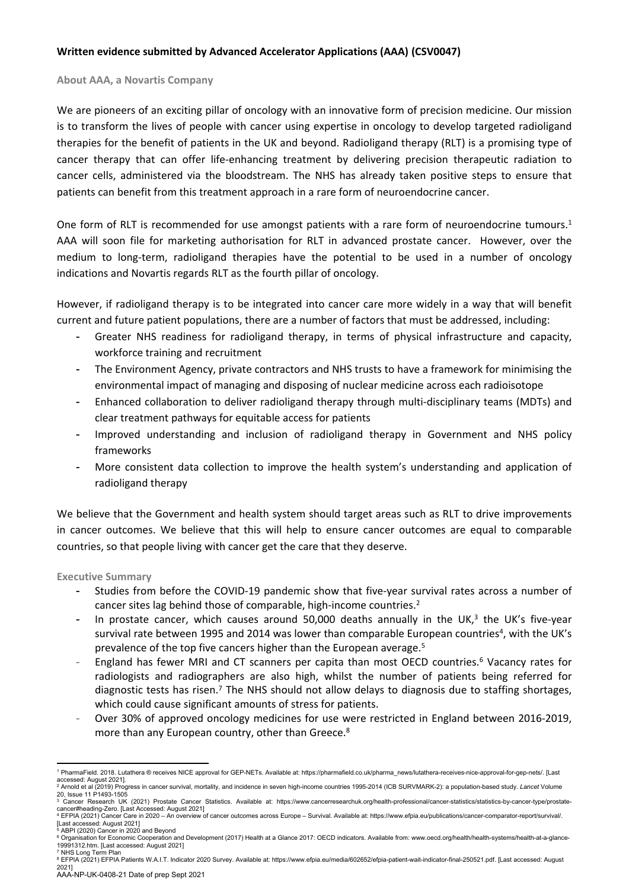# **Written evidence submitted by Advanced Accelerator Applications (AAA) (CSV0047)**

#### **About AAA, a Novartis Company**

We are pioneers of an exciting pillar of oncology with an innovative form of precision medicine. Our mission is to transform the lives of people with cancer using expertise in oncology to develop targeted radioligand therapies for the benefit of patients in the UK and beyond. Radioligand therapy (RLT) is a promising type of cancer therapy that can offer life-enhancing treatment by delivering precision therapeutic radiation to cancer cells, administered via the bloodstream. The NHS has already taken positive steps to ensure that patients can benefit from this treatment approach in a rare form of neuroendocrine cancer.

One form of RLT is recommended for use amongst patients with a rare form of neuroendocrine tumours.<sup>1</sup> AAA will soon file for marketing authorisation for RLT in advanced prostate cancer. However, over the medium to long-term, radioligand therapies have the potential to be used in a number of oncology indications and Novartis regards RLT as the fourth pillar of oncology.

However, if radioligand therapy is to be integrated into cancer care more widely in a way that will benefit current and future patient populations, there are a number of factors that must be addressed, including:

- Greater NHS readiness for radioligand therapy, in terms of physical infrastructure and capacity, workforce training and recruitment
- The Environment Agency, private contractors and NHS trusts to have a framework for minimising the environmental impact of managing and disposing of nuclear medicine across each radioisotope
- Enhanced collaboration to deliver radioligand therapy through multi-disciplinary teams (MDTs) and clear treatment pathways for equitable access for patients
- Improved understanding and inclusion of radioligand therapy in Government and NHS policy frameworks
- More consistent data collection to improve the health system's understanding and application of radioligand therapy

We believe that the Government and health system should target areas such as RLT to drive improvements in cancer outcomes. We believe that this will help to ensure cancer outcomes are equal to comparable countries, so that people living with cancer get the care that they deserve.

**Executive Summary**

- Studies from before the COVID-19 pandemic show that five-year survival rates across a number of cancer sites lag behind those of comparable, high-income countries.<sup>2</sup>
- In prostate cancer, which causes around 50,000 deaths annually in the UK,<sup>3</sup> the UK's five-year survival rate between 1995 and 2014 was lower than comparable European countries<sup>4</sup>, with the UK's prevalence of the top five cancers higher than the European average.<sup>5</sup>
- <span id="page-0-0"></span>England has fewer MRI and CT scanners per capita than most OECD countries.<sup>6</sup> Vacancy rates for radiologists and radiographers are also high, whilst the number of patients being referred for diagnostic tests has risen.<sup>7</sup> The NHS should not allow delays to diagnosis due to staffing shortages, which could cause significant amounts of stress for patients.
- Over 30% of approved oncology medicines for use were restricted in England between 2016-2019, more than any European country, other than Greece.<sup>8</sup>

[Last accessed: August 2021] <sup>5</sup> ABPI (2020) Cancer in 2020 and Beyond

<sup>1</sup> PharmaField. 2018. Lutathera ® receives NICE approval for GEP-NETs. Available at: [https://pharmafield.co.uk/pharma\\_news/lutathera-receives-nice-approval-for-gep-nets/.](https://pharmafield.co.uk/pharma_news/lutathera-receives-nice-approval-for-gep-nets/) [Last

accessed: August 2021].<br><sup>2</sup> Arnold et al (2019) Progress in cancer survival, mortality, and incidence in seven high-income countries 1995-2014 (ICB SURVMARK-2): a population-based study. *Lancet* Volume<br>20, Issue 11 P1493-

<sup>3</sup> Cancer Research UK (2021) Prostate Cancer Statistics. Available at: https://www.cancerresearchuk.org/health-professional/cancer-statistics/statistics-by-cancer-type/prostate-

cancer#heading-Zero. [Last Accessed: August 2021]<br><sup>4</sup> EFPIA (2021) Cancer Care in 2020 – An overview of cancer outcomes across Europe – Survival. Available at: https://www.efpia.eu/publications/cancer-comparator-report/sur

<sup>6</sup> Organisation for Economic Cooperation and Development (2017) Health at a Glance 2017: OECD indicators. Available from: www.oecd.org/health/health-systems/health-at-a-glance-19991312.htm. [Last accessed: August 2021]

AAA-NP-UK-0408-21 Date of prep Sept 2021 <sup>7</sup> NHS Long Term Plan <sup>8</sup> EFPIA (2021) EFPIA Patients W.A.I.T. Indicator 2020 Survey. Available at: https://www.efpia.eu/media/602652/efpia-patient-wait-indicator-final-250521.pdf. [Last accessed: August 2021]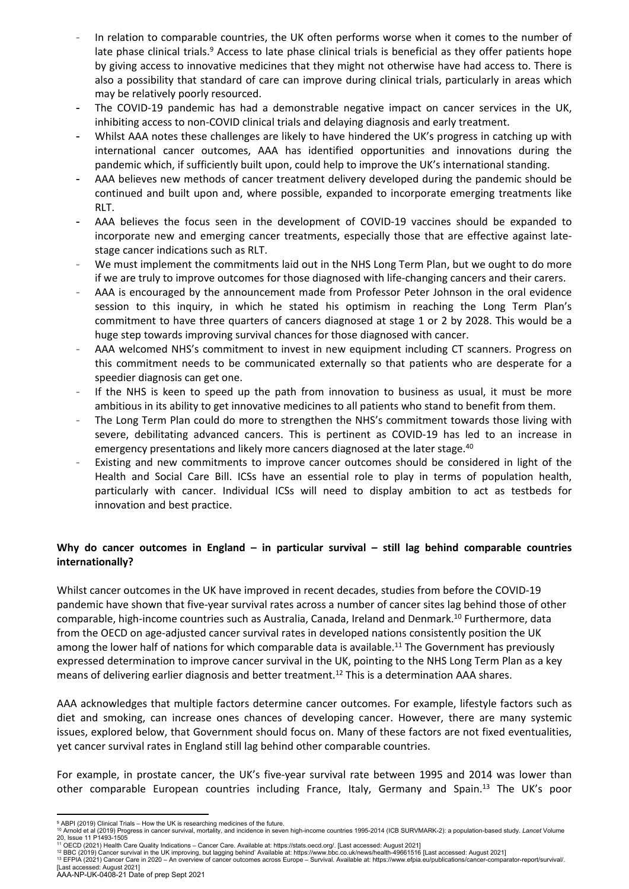- <span id="page-1-0"></span>In relation to comparable countries, the UK often performs worse when it comes to the number of late phase clinical trials.<sup>9</sup> Access to late phase clinical trials is beneficial as they offer patients hope by giving access to innovative medicines that they might not otherwise have had access to. There is also a possibility that standard of care can improve during clinical trials, particularly in areas which may be relatively poorly resourced.
- The COVID-19 pandemic has had a demonstrable negative impact on cancer services in the UK, inhibiting access to non-COVID clinical trials and delaying diagnosis and early treatment.
- Whilst AAA notes these challenges are likely to have hindered the UK's progress in catching up with international cancer outcomes, AAA has identified opportunities and innovations during the pandemic which, if sufficiently built upon, could help to improve the UK's international standing.
- AAA believes new methods of cancer treatment delivery developed during the pandemic should be continued and built upon and, where possible, expanded to incorporate emerging treatments like RLT.
- AAA believes the focus seen in the development of COVID-19 vaccines should be expanded to incorporate new and emerging cancer treatments, especially those that are effective against latestage cancer indications such as RLT.
- We must implement the commitments laid out in the NHS Long Term Plan, but we ought to do more if we are truly to improve outcomes for those diagnosed with life-changing cancers and their carers.
- AAA is encouraged by the announcement made from Professor Peter Johnson in the oral evidence session to this inquiry, in which he stated his optimism in reaching the Long Term Plan's commitment to have three quarters of cancers diagnosed at stage 1 or 2 by 2028. This would be a huge step towards improving survival chances for those diagnosed with cancer.
- AAA welcomed NHS's commitment to invest in new equipment including CT scanners. Progress on this commitment needs to be communicated externally so that patients who are desperate for a speedier diagnosis can get one.
- If the NHS is keen to speed up the path from innovation to business as usual, it must be more ambitious in its ability to get innovative medicines to all patients who stand to benefit from them.
- The Long Term Plan could do more to strengthen the NHS's commitment towards those living with severe, debilitating advanced cancers. This is pertinent as COVID-19 has led to an increase in emergency presentations and likely more cancers diagnosed at the later stage.<sup>[40](#page-6-0)</sup>
- Existing and new commitments to improve cancer outcomes should be considered in light of the Health and Social Care Bill. ICSs have an essential role to play in terms of population health, particularly with cancer. Individual ICSs will need to display ambition to act as testbeds for innovation and best practice.

# **Why do cancer outcomes in England – in particular survival – still lag behind comparable countries internationally?**

<span id="page-1-1"></span>Whilst cancer outcomes in the UK have improved in recent decades, studies from before the COVID-19 pandemic have shown that five-year survival rates across a number of cancer sites lag behind those of other comparable, high-income countries such as Australia, Canada, Ireland and Denmark.<sup>10</sup> Furthermore, data from the OECD on age-adjusted cancer survival rates in developed nations consistently position the UK among the lower half of nations for which comparable data is available.<sup>11</sup> The Government has previously expressed determination to improve cancer survival in the UK, pointing to the NHS Long Term Plan as a key means of delivering earlier diagnosis and better treatment.<sup>12</sup> This is a determination AAA shares.

AAA acknowledges that multiple factors determine cancer outcomes. For example, lifestyle factors such as diet and smoking, can increase ones chances of developing cancer. However, there are many systemic issues, explored below, that Government should focus on. Many of these factors are not fixed eventualities, yet cancer survival rates in England still lag behind other comparable countries.

For example, in prostate cancer, the UK's five-year survival rate between 1995 and 2014 was lower than other comparable European countries including France, Italy, Germany and Spain.<sup>13</sup> The UK's poor

<sup>9</sup> ABPI (2019) Clinical Trials – How the UK is researching medicines of the future.

<sup>10</sup> Arnold et al (2019) Progress in cancer survival, mortality, and incidence in seven high-income countries 1995-2014 (ICB SURVMARK-2): a population-based study. *Lancet* Volume 20, Issue 11 P1493-1505

<sup>11</sup> OECD (2021) Health Care Quality Indications – Cancer Care. Available at: https://stats.oecd.org/. [Last accessed: August 2021]<br><sup>12</sup> BBC (2019) Cancer survival in the UK improving, but lagging behind? Available at: http [Last accessed: August 2021]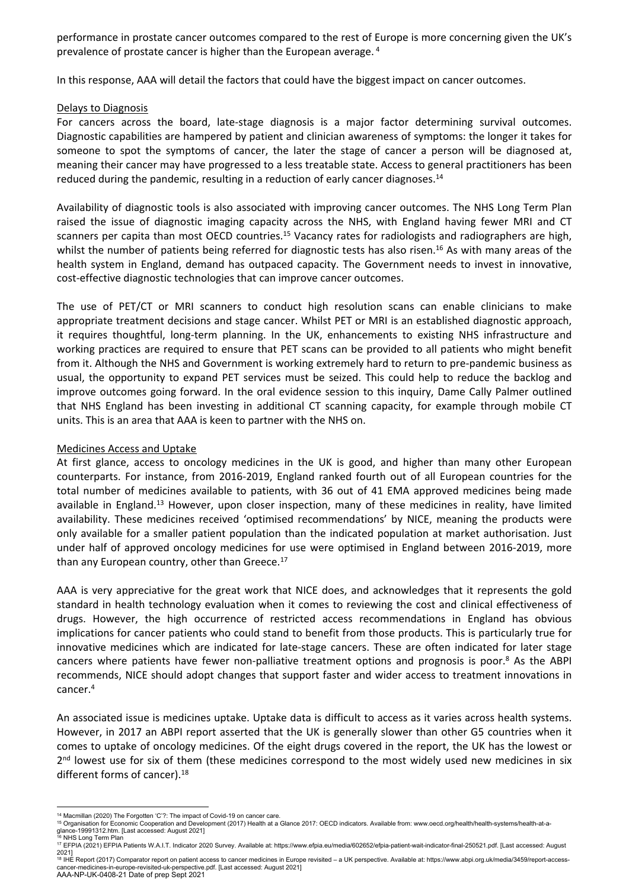performance in prostate cancer outcomes compared to the rest of Europe is more concerning given the UK's prevalence of prostate cancer is higher than the European average. [4](#page-0-0)

In this response, AAA will detail the factors that could have the biggest impact on cancer outcomes.

### Delays to Diagnosis

For cancers across the board, late-stage diagnosis is a major factor determining survival outcomes. Diagnostic capabilities are hampered by patient and clinician awareness of symptoms: the longer it takes for someone to spot the symptoms of cancer, the later the stage of cancer a person will be diagnosed at, meaning their cancer may have progressed to a less treatable state. Access to general practitioners has been reduced during the pandemic, resulting in a reduction of early cancer diagnoses.<sup>14</sup>

<span id="page-2-1"></span>Availability of diagnostic tools is also associated with improving cancer outcomes. The NHS Long Term Plan raised the issue of diagnostic imaging capacity across the NHS, with England having fewer MRI and CT scanners per capita than most OECD countries.<sup>15</sup> Vacancy rates for radiologists and radiographers are high, whilst the number of patients being referred for diagnostic tests has also risen.<sup>16</sup> As with many areas of the health system in England, demand has outpaced capacity. The Government needs to invest in innovative, cost-effective diagnostic technologies that can improve cancer outcomes.

The use of PET/CT or MRI scanners to conduct high resolution scans can enable clinicians to make appropriate treatment decisions and stage cancer. Whilst PET or MRI is an established diagnostic approach, it requires thoughtful, long-term planning. In the UK, enhancements to existing NHS infrastructure and working practices are required to ensure that PET scans can be provided to all patients who might benefit from it. Although the NHS and Government is working extremely hard to return to pre-pandemic business as usual, the opportunity to expand PET services must be seized. This could help to reduce the backlog and improve outcomes going forward. In the oral evidence session to this inquiry, Dame Cally Palmer outlined that NHS England has been investing in additional CT scanning capacity, for example through mobile CT units. This is an area that AAA is keen to partner with the NHS on.

#### Medicines Access and Uptake

At first glance, access to oncology medicines in the UK is good, and higher than many other European counterparts. For instance, from 2016-2019, England ranked fourth out of all European countries for the total number of medicines available to patients, with 36 out of 41 EMA approved medicines being made available in England.<sup>[13](#page-2-0)</sup> However, upon closer inspection, many of these medicines in reality, have limited availability. These medicines received 'optimised recommendations' by NICE, meaning the products were only available for a smaller patient population than the indicated population at market authorisation. Just under half of approved oncology medicines for use were optimised in England between 2016-2019, more than any European country, other than Greece.<sup>17</sup>

<span id="page-2-0"></span>AAA is very appreciative for the great work that NICE does, and acknowledges that it represents the gold standard in health technology evaluation when it comes to reviewing the cost and clinical effectiveness of drugs. However, the high occurrence of restricted access recommendations in England has obvious implications for cancer patients who could stand to benefit from those products. This is particularly true for innovative medicines which are indicated for late-stage cancers. These are often indicated for later stage cancers where patients have fewer non-palliative treatment options and prognosis is poor.<sup>[8](#page-2-1)</sup> As the ABPI recommends, NICE should adopt changes that support faster and wider access to treatment innovations in cancer.[4](#page-0-0)

An associated issue is medicines uptake. Uptake data is difficult to access as it varies across health systems. However, in 2017 an ABPI report asserted that the UK is generally slower than other G5 countries when it comes to uptake of oncology medicines. Of the eight drugs covered in the report, the UK has the lowest or 2<sup>nd</sup> lowest use for six of them (these medicines correspond to the most widely used new medicines in six different forms of cancer).<sup>18</sup>

AAA-NP-UK-0408-21 Date of prep Sept 2021 <sup>18</sup> IHE Report (2017) Comparator report on patient access to cancer medicines in Europe revisited – a UK perspective. Available at: https://www.abpi.org.uk/media/3459/report-access-.<br>edicines-in-europe-revisited-uk-perspective.pdf. [Last accessed: August 2021]

<span id="page-2-2"></span><sup>14</sup> Macmillan (2020) The Forgotten 'C'?: The impact of Covid-19 on cancer care.

<sup>15</sup> Organisation for Economic Cooperation and Development (2017) Health at a Glance 2017: OECD indicators. Available from: www.oecd.org/health/health-systems/health-at-a-glance-19991312.htm. [Last accessed: August 2021] <sup>16</sup> NHS Long Term Plan

<sup>17</sup> EFPIA (2021) EFPIA Patients W.A.I.T. Indicator 2020 Survey. Available at: https://www.efpia.eu/media/602652/efpia-patient-wait-indicator-final-250521.pdf. [Last accessed: August 2021]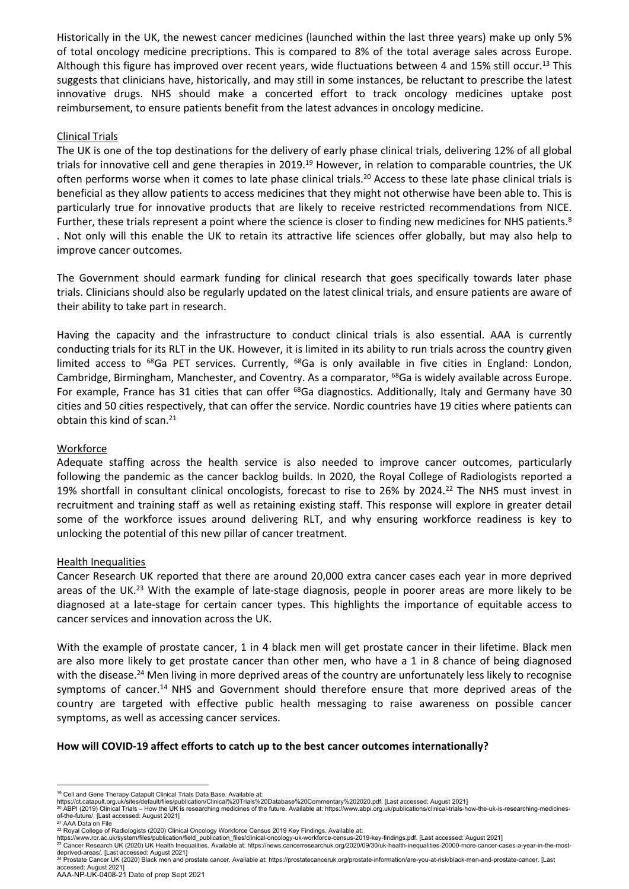Historically in the UK, the newest cancer medicines (launched within the last three years) make up only 5% of total oncology medicine precriptions. This is compared to 8% of the total average sales across Europe. Although this figure has improved over recent years, wide fluctuations between 4 and 15% still occur.<sup>[13](#page-2-2)</sup> This suggests that clinicians have, historically, and may still in some instances, be reluctant to prescribe the latest innovative drugs. NHS should make a concerted effort to track oncology medicines uptake post reimbursement, to ensure patients benefit from the latest advances in oncology medicine.

# Clinical Trials

The UK is one of the top destinations for the delivery of early phase clinical trials, delivering 12% of all global trials for innovative cell and gene therapies in 2019.<sup>19</sup> However, in relation to comparable countries, the UK often performs worse when it comes to late phase clinical trials.<sup>20</sup> Access to these late phase clinical trials is beneficial as they allow patients to access medicines that they might not otherwise have been able to. This is particularly true for innovative products that are likely to receive restricted recommendations from NICE. Further, these trials represent a point where the science is closer to finding new medicines for NHS patients.<sup>[8](#page-1-0)</sup> . Not only will this enable the UK to retain its attractive life sciences offer globally, but may also help to improve cancer outcomes.

The Government should earmark funding for clinical research that goes specifically towards later phase trials. Clinicians should also be regularly updated on the latest clinical trials, and ensure patients are aware of their ability to take part in research.

Having the capacity and the infrastructure to conduct clinical trials is also essential. AAA is currently conducting trials for its RLT in the UK. However, it is limited in its ability to run trials across the country given limited access to <sup>68</sup>Ga PET services. Currently, <sup>68</sup>Ga is only available in five cities in England: London, Cambridge, Birmingham, Manchester, and Coventry. As a comparator, <sup>68</sup>Ga is widely available across Europe. For example, France has 31 cities that can offer <sup>68</sup>Ga diagnostics. Additionally, Italy and Germany have 30 cities and 50 cities respectively, that can offer the service. Nordic countries have 19 cities where patients can obtain this kind of scan.<sup>21</sup>

# **Workforce**

Adequate staffing across the health service is also needed to improve cancer outcomes, particularly following the pandemic as the cancer backlog builds. In 2020, the Royal College of Radiologists reported a 19% shortfall in consultant clinical oncologists, forecast to rise to 26% by 2024.<sup>22</sup> The NHS must invest in recruitment and training staff as well as retaining existing staff. This response will explore in greater detail some of the workforce issues around delivering RLT, and why ensuring workforce readiness is key to unlocking the potential of this new pillar of cancer treatment.

### Health Inequalities

<span id="page-3-0"></span>Cancer Research UK reported that there are around 20,000 extra cancer cases each year in more deprived areas of the UK.<sup>23</sup> With the example of late-stage diagnosis, people in poorer areas are more likely to be diagnosed at a late-stage for certain cancer types. This highlights the importance of equitable access to cancer services and innovation across the UK.

With the example of prostate cancer, 1 in 4 black men will get prostate cancer in their lifetime. Black men are also more likely to get prostate cancer than other men, who have a 1 in 8 chance of being diagnosed with the disease.<sup>24</sup> Men living in more deprived areas of the country are unfortunately less likely to recognise symptoms of cancer.<sup>[14](#page-3-0)</sup> NHS and Government should therefore ensure that more deprived areas of the country are targeted with effective public health messaging to raise awareness on possible cancer symptoms, as well as accessing cancer services.

### **How will COVID-19 affect efforts to catch up to the best cancer outcomes internationally?**

<sup>&</sup>lt;sup>19</sup> Cell and Gene Therapy Catapult Clinical Trials Data Base. Available at:

https://ct.catapult.org.uk/sites/default/files/publication/Clinical%20Trials%20Database%20Commentary%202020.pdf. [Last accessed: August 2021]

<sup>20</sup> ABPI (2019) Clinical Trials – How the UK is researching medicines of the future. Available at: https://www.abpi.org.uk/publications/clinical-trials-how-the-uk-is-researching-medicinesof-the-future/. [Last accessed: August 2021]

<sup>&</sup>lt;sup>21</sup> AAA Data on File

<sup>22</sup> Royal College of Radiologists (2020) Clinical Oncology Workforce Census 2019 Key Findings. Available at:

https://www.rcr.ac.uk/system/files/publication/field\_publication\_files/clinical-oncology-uk-workforce-census-2019-key-findings.pdf. [Last accessed: August 2021]<br><sup>23</sup> Cancer Research UK (2020) UK Health Inequalities. Availa deprived-areas/. [Last accessed: August 2021]

<sup>24</sup> Prostate Cancer UK (2020) Black men and prostate cancer. Available at: https://prostatecanceruk.org/prostate-information/are-you-at-risk/black-men-and-prostate-cancer. [Last accessed: August 2021]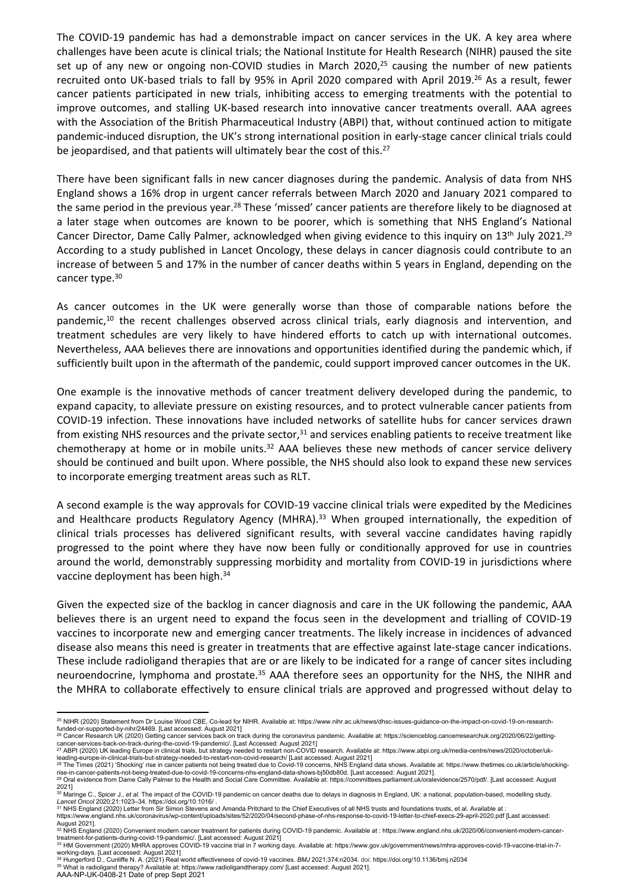The COVID-19 pandemic has had a demonstrable impact on cancer services in the UK. A key area where challenges have been acute is clinical trials; the National Institute for Health Research (NIHR) paused the site set up of any new or ongoing non-COVID studies in March 2020,<sup>25</sup> causing the number of new patients recruited onto UK-based trials to fall by 95% in April 2020 compared with April 2019.<sup>26</sup> As a result, fewer cancer patients participated in new trials, inhibiting access to emerging treatments with the potential to improve outcomes, and stalling UK-based research into innovative cancer treatments overall. AAA agrees with the Association of the British Pharmaceutical Industry (ABPI) that, without continued action to mitigate pandemic-induced disruption, the UK's strong international position in early-stage cancer clinical trials could be jeopardised, and that patients will ultimately bear the cost of this.<sup>27</sup>

There have been significant falls in new cancer diagnoses during the pandemic. Analysis of data from NHS England shows a 16% drop in urgent cancer referrals between March 2020 and January 2021 compared to the same period in the previous year.<sup>28</sup> These 'missed' cancer patients are therefore likely to be diagnosed at a later stage when outcomes are known to be poorer, which is something that NHS England's National Cancer Director, Dame Cally Palmer, acknowledged when giving evidence to this inquiry on 13<sup>th</sup> July 2021.<sup>29</sup> According to a study published in Lancet Oncology, these delays in cancer diagnosis could contribute to an increase of between 5 and 17% in the number of cancer deaths within 5 years in England, depending on the cancer type.<sup>30</sup>

As cancer outcomes in the UK were generally worse than those of comparable nations before the pandemic, $10$  the recent challenges observed across clinical trials, early diagnosis and intervention, and treatment schedules are very likely to have hindered efforts to catch up with international outcomes. Nevertheless, AAA believes there are innovations and opportunities identified during the pandemic which, if sufficiently built upon in the aftermath of the pandemic, could support improved cancer outcomes in the UK.

One example is the innovative methods of cancer treatment delivery developed during the pandemic, to expand capacity, to alleviate pressure on existing resources, and to protect vulnerable cancer patients from COVID-19 infection. These innovations have included networks of satellite hubs for cancer services drawn from existing NHS resources and the private sector, $31$  and services enabling patients to receive treatment like chemotherapy at home or in mobile units.<sup>32</sup> AAA believes these new methods of cancer service delivery should be continued and built upon. Where possible, the NHS should also look to expand these new services to incorporate emerging treatment areas such as RLT.

A second example is the way approvals for COVID-19 vaccine clinical trials were expedited by the Medicines and Healthcare products Regulatory Agency (MHRA).<sup>33</sup> When grouped internationally, the expedition of clinical trials processes has delivered significant results, with several vaccine candidates having rapidly progressed to the point where they have now been fully or conditionally approved for use in countries around the world, demonstrably suppressing morbidity and mortality from COVID-19 in jurisdictions where vaccine deployment has been high.<sup>34</sup>

Given the expected size of the backlog in cancer diagnosis and care in the UK following the pandemic, AAA believes there is an urgent need to expand the focus seen in the development and trialling of COVID-19 vaccines to incorporate new and emerging cancer treatments. The likely increase in incidences of advanced disease also means this need is greater in treatments that are effective against late-stage cancer indications. These include radioligand therapies that are or are likely to be indicated for a range of cancer sites including neuroendocrine, lymphoma and prostate.<sup>35</sup> AAA therefore sees an opportunity for the NHS, the NIHR and the MHRA to collaborate effectively to ensure clinical trials are approved and progressed without delay to

<sup>25</sup> NIHR (2020) Statement from Dr Louise Wood CBE, Co-lead for NIHR. Available at: https://www.nihr.ac.uk/news/dhsc-issues-guidance-on-the-impact-on-covid-19-on-research-

funded-or-supported-by-nihr/24469. [Last accessed: August 2021]<br><sup>26</sup> Cancer Research UK (2020) Getting cancer services back on track during the coronavirus pandemic. Available at: https://scienceblog.cancerresearchuk.org/2

rise-in-cancer-patients-not-being-treated-due-to-covid-19-concerns-nhs-england-data-shows-bj50db80d. [Last accessed: August 2021].<br><sup>29</sup> Oral evidence from Dame Cally Palmer to the Health and Social Care Committee. Availabl

<sup>2021]&</sup>lt;br><sup>30</sup> Maringe C., Spicer J., *et al.* The impact of the COVID-19 pandemic on cancer deaths due to delays in diagnosis in England, UK: a national, population-based, modelling study.<br>*Lancet Oncol* 2020;21:1023–34. http

<sup>&</sup>lt;sup>21</sup> mainity C., Spicel 31, et al. The impact of the COVID-19 pandemic on cancer deaths due to delays in diagnosis in England, ON. a hational, population-based Lancet Chief Executives of all NHS trusts and foundations trus

https://www.england.nhs.uk/coronavirus/wp-content/uploads/sites/52/2020/04/second-phase-of-nhs-response-to-covid-19-letter-to-chief-execs-29-april-2020.pdf [Last accessed: August 2021].<br><sup>32</sup> NHS England (2020) Convenient modern cancer treatment for patients during COVID-19 pandemic. Available at : https://www.england.nhs.uk/2020/06/convenient-modern-cancer-

treatment-for-patients-during-covid-19-pandemic/. [Last accessed: August 2021] <sup>33</sup> HM Government (2020) MHRA approves COVID-19 vaccine trial in 7 working days. Available at: https://www.gov.uk/government/news/mhra-approves-covid-19-vaccine-trial-in-7-

working-days. [Last accessed: August 2021]<br><sup>34</sup> Hungerford D., Cunliffe N. A. (2021) Real world effectiveness of covid-19 vaccines. *BMJ* 2021;374:n2034. doi: https://doi.org/10.1136/bmj.n2034

<sup>35</sup> What is radioligand therapy? Available at: https://www.radioligandtherapy.com/ [Last accessed: August 2021].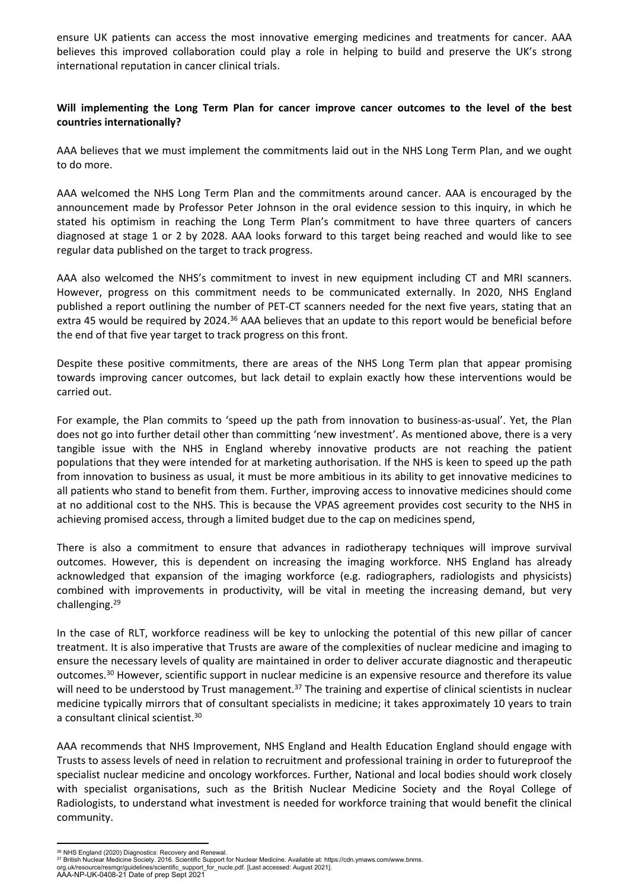ensure UK patients can access the most innovative emerging medicines and treatments for cancer. AAA believes this improved collaboration could play a role in helping to build and preserve the UK's strong international reputation in cancer clinical trials.

# **Will implementing the Long Term Plan for cancer improve cancer outcomes to the level of the best countries internationally?**

AAA believes that we must implement the commitments laid out in the NHS Long Term Plan, and we ought to do more.

AAA welcomed the NHS Long Term Plan and the commitments around cancer. AAA is encouraged by the announcement made by Professor Peter Johnson in the oral evidence session to this inquiry, in which he stated his optimism in reaching the Long Term Plan's commitment to have three quarters of cancers diagnosed at stage 1 or 2 by 2028. AAA looks forward to this target being reached and would like to see regular data published on the target to track progress.

<span id="page-5-0"></span>AAA also welcomed the NHS's commitment to invest in new equipment including CT and MRI scanners. However, progress on this commitment needs to be communicated externally. In 2020, NHS England published a report outlining the number of PET-CT scanners needed for the next five years, stating that an extra 45 would be required by 2024.<sup>36</sup> AAA believes that an update to this report would be beneficial before the end of that five year target to track progress on this front.

Despite these positive commitments, there are areas of the NHS Long Term plan that appear promising towards improving cancer outcomes, but lack detail to explain exactly how these interventions would be carried out.

For example, the Plan commits to 'speed up the path from innovation to business-as-usual'. Yet, the Plan does not go into further detail other than committing 'new investment'. As mentioned above, there is a very tangible issue with the NHS in England whereby innovative products are not reaching the patient populations that they were intended for at marketing authorisation. If the NHS is keen to speed up the path from innovation to business as usual, it must be more ambitious in its ability to get innovative medicines to all patients who stand to benefit from them. Further, improving access to innovative medicines should come at no additional cost to the NHS. This is because the VPAS agreement provides cost security to the NHS in achieving promised access, through a limited budget due to the cap on medicines spend,

There is also a commitment to ensure that advances in radiotherapy techniques will improve survival outcomes. However, this is dependent on increasing the imaging workforce. NHS England has already acknowledged that expansion of the imaging workforce (e.g. radiographers, radiologists and physicists) combined with improvements in productivity, will be vital in meeting the increasing demand, but very challenging.[29](#page-5-0)

<span id="page-5-1"></span>In the case of RLT, workforce readiness will be key to unlocking the potential of this new pillar of cancer treatment. It is also imperative that Trusts are aware of the complexities of nuclear medicine and imaging to ensure the necessary levels of quality are maintained in order to deliver accurate diagnostic and therapeutic outcomes.[30](#page-5-1) However, scientific support in nuclear medicine is an expensive resource and therefore its value will need to be understood by Trust management.<sup>37</sup> The training and expertise of clinical scientists in nuclear medicine typically mirrors that of consultant specialists in medicine; it takes approximately 10 years to train a consultant clinical scientist.[30](#page-5-1)

AAA recommends that NHS Improvement, NHS England and Health Education England should engage with Trusts to assess levels of need in relation to recruitment and professional training in order to futureproof the specialist nuclear medicine and oncology workforces. Further, National and local bodies should work closely with specialist organisations, such as the British Nuclear Medicine Society and the Royal College of Radiologists, to understand what investment is needed for workforce training that would benefit the clinical community.

<sup>&</sup>lt;sup>36</sup> NHS England (2020) Diagnostics: Recovery and Renewal.<br><sup>37</sup> British Nuclear Medicine Society. 2016. Scientific Support for Nuclear Medicine. Available at: https://cdn.ymaws.com/www.bnms. org.uk/resource/resmgr/guidelines/scientific\_support\_for\_nucle.pdf. [Last accessed: August 2021].